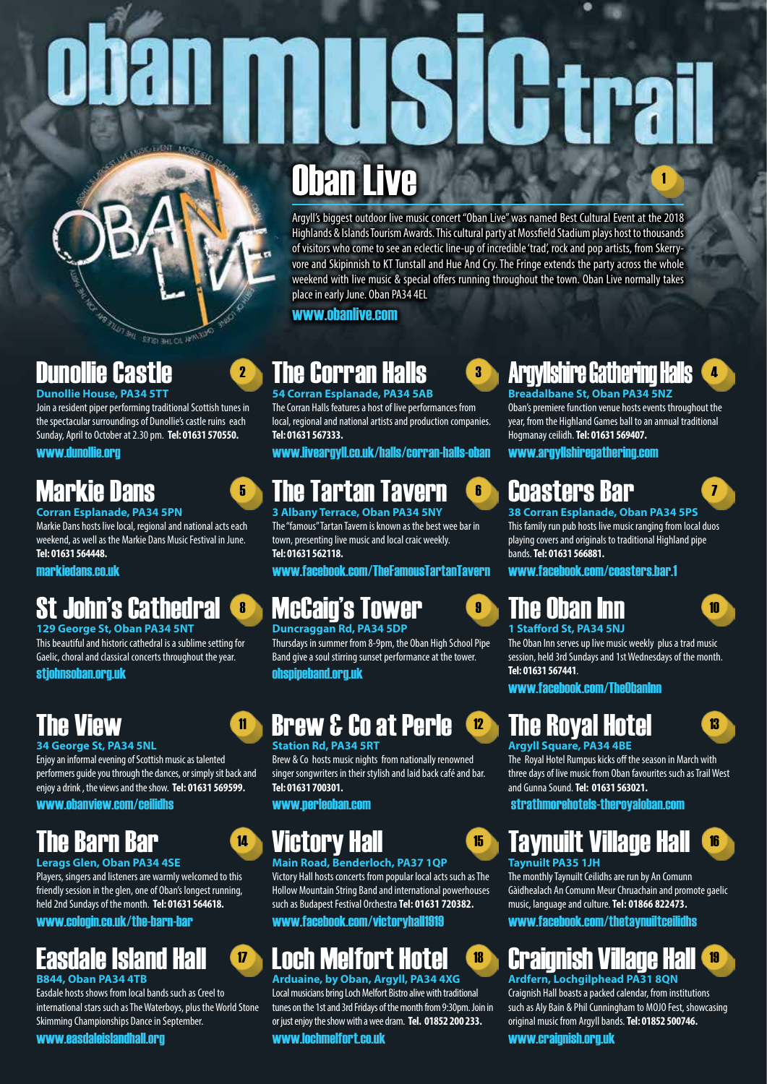# 1

# Oban Live

Argyll's biggest outdoor live music concert "Oban Live" was named Best Cultural Event at the 2018 Highlands & Islands Tourism Awards. This cultural party at Mossfield Stadium plays host to thousands of visitors who come to see an eclectic line-up of incredible 'trad', rock and pop artists, from Skerryvore and Skipinnish to KT Tunstall and Hue And Cry. The Fringe extends the party across the whole weekend with live music & special offers running throughout the town. Oban Live normally takes place in early June. Oban PA34 4EL

www.obanlive.com

# Dunollie Castle

**Dunollie House, PA34 5TT** Join a resident piper performing traditional Scottish tunes in the spectacular surroundings of Dunollie's castle ruins each Sunday, April to October at 2.30 pm. **Tel: 01631 570550.**

**SETIST BHL OIL APPARAING** 

www.dunollie.org

# Markie Dans

**Corran Esplanade, PA34 5PN** Markie Dans hosts live local, regional and national acts each weekend, as well as the Markie Dans Music Festival in June. **Tel: 01631 564448.**

markiedans.co.uk

# St John's Cathedral

### **129 George St, Oban PA34 5NT**

This beautiful and historic cathedral is a sublime setting for Gaelic, choral and classical concerts throughout the year.

### stjohnsoban.org.uk

# The View

### **34 George St, PA34 5NL**

Enjoy an informal evening of Scottish music as talented performers guide you through the dances, or simply sit back and enjoy a drink , the views and the show. **Tel: 01631 569599.**

www.obanview.com/ceilidhs

# The Barn Bar

**Lerags Glen, Oban PA34 4SE** Players, singers and listeners are warmly welcomed to this friendly session in the glen, one of Oban's longest running, held 2nd Sundays of the month. **Tel: 01631 564618.**

### www.cologin.co.uk/the-barn-bar

# Easdale Island Hall

**B844, Oban PA34 4TB**

Easdale hosts shows from local bands such as Creel to international stars such as The Waterboys, plus the World Stone Skimming Championships Dance in September.

### www.easdaleislandhall.org

### 2 The Corran Halls Ca **54 Corran Esplanade, PA34 5AB**

The Corran Halls features a host of live performances from local, regional and national artists and production companies. **Tel: 01631 567333.**

www.liveargyll.co.uk/halls/corran-halls-oban

# **5 The Tartan Tavern**

**3 Albany Terrace, Oban PA34 5NY** The "famous" Tartan Tavern is known as the best wee bar in town, presenting live music and local craic weekly. **Tel: 01631 562118.**

www.facebook.com/TheFamousTartanTavern

# **8 McCaig's Tower**

### **Duncraggan Rd, PA34 5DP** Thursdays in summer from 8-9pm, the Oban High School Pipe Band give a soul stirring sunset performance at the tower.

ohspipeband.org.uk

# <mark>n Brew & Co at Perle (12</mark>

### **Station Rd, PA34 5RT**

Brew & Co hosts music nights from nationally renowned singer songwriters in their stylish and laid back café and bar. **Tel: 01631 700301.**

www.perleoban.com

# **14 Victory Hall Reserve B**

**Main Road, Benderloch, PA37 1QP** Victory Hall hosts concerts from popular local acts such as The Hollow Mountain String Band and international powerhouses such as Budapest Festival Orchestra **Tel: 01631 720382.**

www.facebook.com/victoryhall1919

# <mark>v Loch Melfort Hotel (18</mark>

**Arduaine, by Oban, Argyll, PA34 4XG** Local musicians bring Loch Melfort Bistro alive with traditional tunes on the 1st and 3rd Fridays of the month from 9:30pm. Join in or just enjoy the show with a wee dram. **Tel. 01852 200 233.**

www.lochmelfort.co.uk

### Argyllshire Gathering Halls **Breadalbane St, Oban PA34 5NZ**

Oban's premiere function venue hosts events throughout the year, from the Highland Games ball to an annual traditional Hogmanay ceilidh. **Tel: 01631 569407.**

www.argyllshiregathering.com

# Coasters Bar

**38 Corran Esplanade, Oban PA34 5PS** This family run pub hosts live music ranging from local duos playing covers and originals to traditional Highland pipe bands. **Tel: 01631 566881.**

www.facebook.com/coasters.bar.1

# The Oban Inn

10

7

4

### **1 Stafford St, PA34 5NJ**

The Oban Inn serves up live music weekly plus a trad music session, held 3rd Sundays and 1st Wednesdays of the month. **Tel: 01631 567441**.

www.facebook.com/TheObanInn

# The Royal Hotel

# 13

The Royal Hotel Rumpus kicks off the season in March with three days of live music from Oban favourites such as Trail West and Gunna Sound. **Tel: 01631 563021.**

strathmorehotels-theroyaloban.com

# Taynuilt Village Hall

16

### **Taynuilt PA35 1JH**

The monthly Taynuilt Ceilidhs are run by An Comunn Gàidhealach An Comunn Meur Chruachain and promote gaelic music, language and culture. **Tel: 01866 822473.**

www.facebook.com/thetaynuiltceilidhs

### Craignish Village Hal 19

**Ardfern, Lochgilphead PA31 8QN** Craignish Hall boasts a packed calendar, from institutions such as Aly Bain & Phil Cunningham to MOJO Fest, showcasing original music from Argyll bands. **Tel: 01852 500746.**

www.craignish.org.uk



**Argyll Square, PA34 4BE**